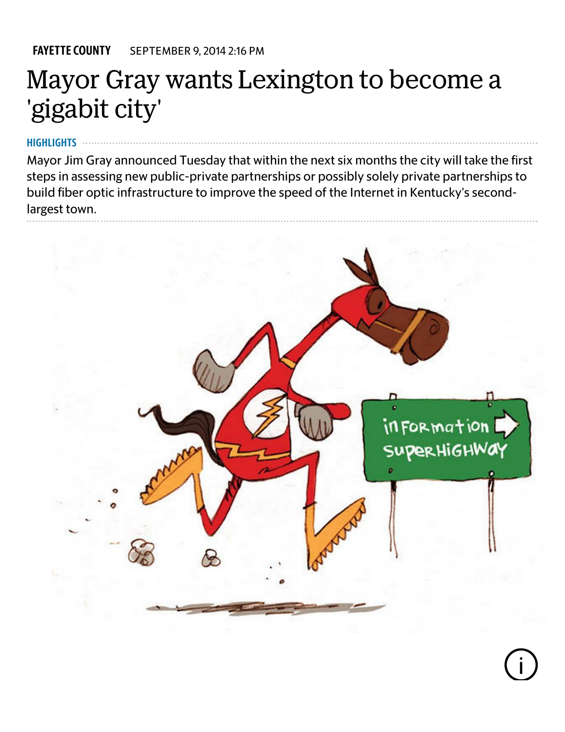[FAYETTE](http://www.kentucky.com/news/local/counties/fayette-county/) COUNTY SEPTEMBER 9, 2014 2:16 PM

# Mayor Gray wants Lexington to become a 'gigabit city'

#### **HIGHLIGHTS**

Mayor Jim Gray announced Tuesday that within the next six months the city will take the first steps in assessing new public-private partnerships or possibly solely private partnerships to build fiber optic infrastructure to improve the speed of the Internet in Kentucky's secondlargest town.

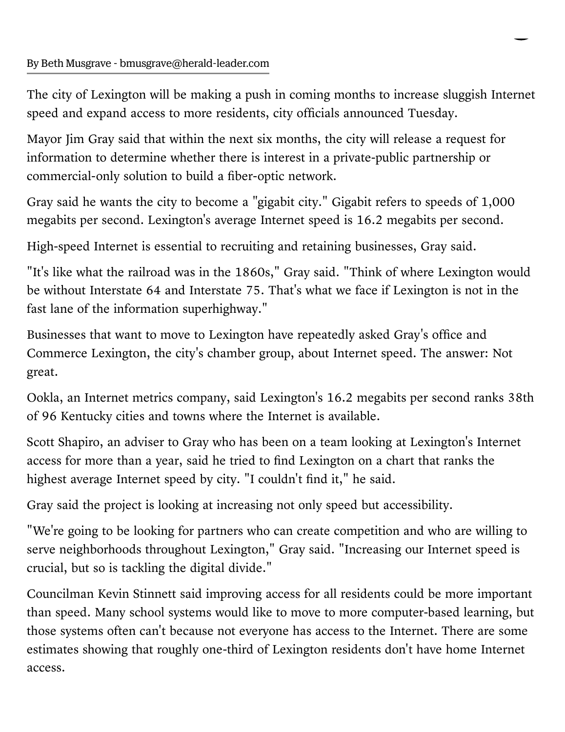The city of Lexington will be making a push in coming months to increase sluggish Internet speed and expand access to more residents, city officials announced Tuesday.

Mayor Jim Gray said that within the next six months, the city will release a request for information to determine whether there is interest in a private-public partnership or commercial-only solution to build a fiber-optic network.

Gray said he wants the city to become a "gigabit city." Gigabit refers to speeds of 1,000 megabits per second. Lexington's average Internet speed is 16.2 megabits per second.

High-speed Internet is essential to recruiting and retaining businesses, Gray said.

"It's like what the railroad was in the 1860s," Gray said. "Think of where Lexington would be without Interstate 64 and Interstate 75. That's what we face if Lexington is not in the fast lane of the information superhighway."

Businesses that want to move to Lexington have repeatedly asked Gray's office and Commerce Lexington, the city's chamber group, about Internet speed. The answer: Not great.

Ookla, an Internet metrics [company](https://www.ookla.com/), said Lexington's 16.2 megabits per second ranks 38th of 96 Kentucky cities and towns where the Internet is available.

Scott Shapiro, an adviser to Gray who has been on a team looking at Lexington's Internet access for more than a year, said he tried to find Lexington on a chart that ranks the highest average Internet speed by city. "I couldn't find it," he said.

Gray said the project is looking at increasing not only speed but accessibility.

"We're going to be looking for partners who can create competition and who are willing to serve neighborhoods throughout Lexington," Gray said. "Increasing our Internet speed is crucial, but so is tackling the digital divide."

Councilman Kevin Stinnett said improving access for all residents could be more important than speed. Many school systems would like to move to more computer-based learning, but those systems often can't because not everyone has access to the Internet. There are some estimates showing that roughly one-third of Lexington residents don't have home Internet access.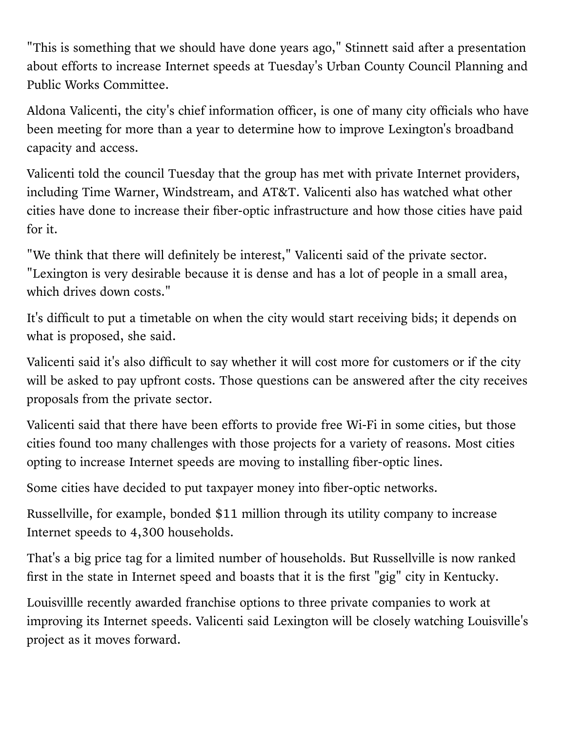"This is something that we should have done years ago," Stinnett said after a presentation about efforts to increase Internet speeds at Tuesday's Urban County Council Planning and Public Works Committee.

Aldona Valicenti, the city's chief information officer, is one of many city officials who have been meeting for more than a year to determine how to improve Lexington's broadband capacity and access.

Valicenti told the council Tuesday that the group has met with private Internet providers, including Time Warner, Windstream, and AT&T. Valicenti also has watched what other cities have done to increase their fiber-optic infrastructure and how those cities have paid for it.

"We think that there will definitely be interest," Valicenti said of the private sector. "Lexington is very desirable because it is dense and has a lot of people in a small area, which drives down costs."

It's difficult to put a timetable on when the city would start receiving bids; it depends on what is proposed, she said.

Valicenti said it's also difficult to say whether it will cost more for customers or if the city will be asked to pay upfront costs. Those questions can be answered after the city receives proposals from the private sector.

Valicenti said that there have been efforts to provide free Wi-Fi in some cities, but those cities found too many challenges with those projects for a variety of reasons. Most cities opting to increase Internet speeds are moving to installing fiber-optic lines.

Some cities have decided to put taxpayer money into fiber-optic networks.

Russellville, for example, bonded \$11 million through its utility company to increase Internet speeds to 4,300 households.

That's a big price tag for a limited number of households. But Russellville is now ranked first in the state in Internet speed and boasts that it is the first "gig" city in Kentucky.

Louisvillle recently awarded [franchise](http://www.bizjournals.com/louisville/news/2014/07/25/louisville-metro-council-approves-fiber-internet.html?utm_source=feedburner&utm_medium=feed&utm_campaign=Feed%3A+bizj_louisville+%28Business+First+of+Louisville%29) options to three private companies to work at improving its Internet speeds. Valicenti said Lexington will be closely watching Louisville's project as it moves forward.